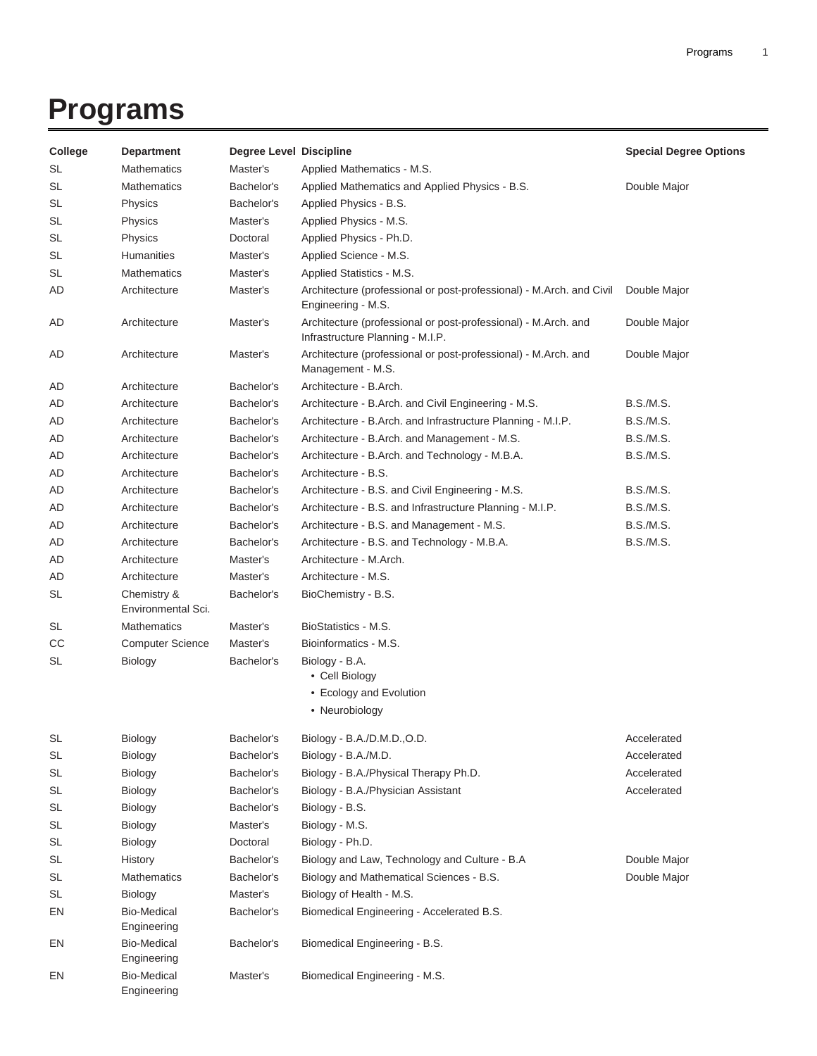## **Programs**

| College   | <b>Department</b>                 | <b>Degree Level Discipline</b> |                                                                                                    | <b>Special Degree Options</b> |
|-----------|-----------------------------------|--------------------------------|----------------------------------------------------------------------------------------------------|-------------------------------|
| SL        | <b>Mathematics</b>                | Master's                       | Applied Mathematics - M.S.                                                                         |                               |
| <b>SL</b> | <b>Mathematics</b>                | Bachelor's                     | Applied Mathematics and Applied Physics - B.S.                                                     | Double Major                  |
| SL        | <b>Physics</b>                    | Bachelor's                     | Applied Physics - B.S.                                                                             |                               |
| SL        | Physics                           | Master's                       | Applied Physics - M.S.                                                                             |                               |
| <b>SL</b> | Physics                           | Doctoral                       | Applied Physics - Ph.D.                                                                            |                               |
| <b>SL</b> | Humanities                        | Master's                       | Applied Science - M.S.                                                                             |                               |
| <b>SL</b> | <b>Mathematics</b>                | Master's                       | Applied Statistics - M.S.                                                                          |                               |
| AD        | Architecture                      | Master's                       | Architecture (professional or post-professional) - M.Arch. and Civil<br>Engineering - M.S.         | Double Major                  |
| AD        | Architecture                      | Master's                       | Architecture (professional or post-professional) - M.Arch. and<br>Infrastructure Planning - M.I.P. | Double Major                  |
| AD        | Architecture                      | Master's                       | Architecture (professional or post-professional) - M.Arch. and<br>Management - M.S.                | Double Major                  |
| AD        | Architecture                      | Bachelor's                     | Architecture - B.Arch.                                                                             |                               |
| AD        | Architecture                      | Bachelor's                     | Architecture - B.Arch. and Civil Engineering - M.S.                                                | <b>B.S./M.S.</b>              |
| AD        | Architecture                      | Bachelor's                     | Architecture - B.Arch. and Infrastructure Planning - M.I.P.                                        | <b>B.S./M.S.</b>              |
| AD        | Architecture                      | Bachelor's                     | Architecture - B.Arch. and Management - M.S.                                                       | <b>B.S./M.S.</b>              |
| AD        | Architecture                      | Bachelor's                     | Architecture - B.Arch. and Technology - M.B.A.                                                     | <b>B.S./M.S.</b>              |
| AD        | Architecture                      | Bachelor's                     | Architecture - B.S.                                                                                |                               |
| AD        | Architecture                      | Bachelor's                     | Architecture - B.S. and Civil Engineering - M.S.                                                   | B.S./M.S.                     |
| AD        | Architecture                      | Bachelor's                     | Architecture - B.S. and Infrastructure Planning - M.I.P.                                           | <b>B.S./M.S.</b>              |
| AD        | Architecture                      | Bachelor's                     | Architecture - B.S. and Management - M.S.                                                          | <b>B.S./M.S.</b>              |
| AD        | Architecture                      | Bachelor's                     | Architecture - B.S. and Technology - M.B.A.                                                        | <b>B.S./M.S.</b>              |
| AD        | Architecture                      | Master's                       | Architecture - M.Arch.                                                                             |                               |
| AD        | Architecture                      | Master's                       | Architecture - M.S.                                                                                |                               |
| <b>SL</b> | Chemistry &<br>Environmental Sci. | Bachelor's                     | BioChemistry - B.S.                                                                                |                               |
| <b>SL</b> | Mathematics                       | Master's                       | BioStatistics - M.S.                                                                               |                               |
| CС        | <b>Computer Science</b>           | Master's                       | Bioinformatics - M.S.                                                                              |                               |
| SL        | Biology                           | Bachelor's                     | Biology - B.A.<br>• Cell Biology                                                                   |                               |
|           |                                   |                                | • Ecology and Evolution                                                                            |                               |
|           |                                   |                                | • Neurobiology                                                                                     |                               |
| SL        | Biology                           | Bachelor's                     | Biology - B.A./D.M.D.,O.D.                                                                         | Accelerated                   |
| SL        | <b>Biology</b>                    | Bachelor's                     | Biology - B.A./M.D.                                                                                | Accelerated                   |
| SL        | Biology                           | Bachelor's                     | Biology - B.A./Physical Therapy Ph.D.                                                              | Accelerated                   |
| <b>SL</b> | Biology                           | Bachelor's                     | Biology - B.A./Physician Assistant                                                                 | Accelerated                   |
| <b>SL</b> | Biology                           | Bachelor's                     | Biology - B.S.                                                                                     |                               |
| <b>SL</b> | Biology                           | Master's                       | Biology - M.S.                                                                                     |                               |
| <b>SL</b> | Biology                           | Doctoral                       | Biology - Ph.D.                                                                                    |                               |
| <b>SL</b> | History                           | Bachelor's                     | Biology and Law, Technology and Culture - B.A                                                      | Double Major                  |
| <b>SL</b> | <b>Mathematics</b>                | Bachelor's                     | Biology and Mathematical Sciences - B.S.                                                           | Double Major                  |
| <b>SL</b> | Biology                           | Master's                       | Biology of Health - M.S.                                                                           |                               |
| EN        | Bio-Medical<br>Engineering        | Bachelor's                     | Biomedical Engineering - Accelerated B.S.                                                          |                               |
| EN        | <b>Bio-Medical</b><br>Engineering | Bachelor's                     | Biomedical Engineering - B.S.                                                                      |                               |
| EN        | <b>Bio-Medical</b><br>Engineering | Master's                       | Biomedical Engineering - M.S.                                                                      |                               |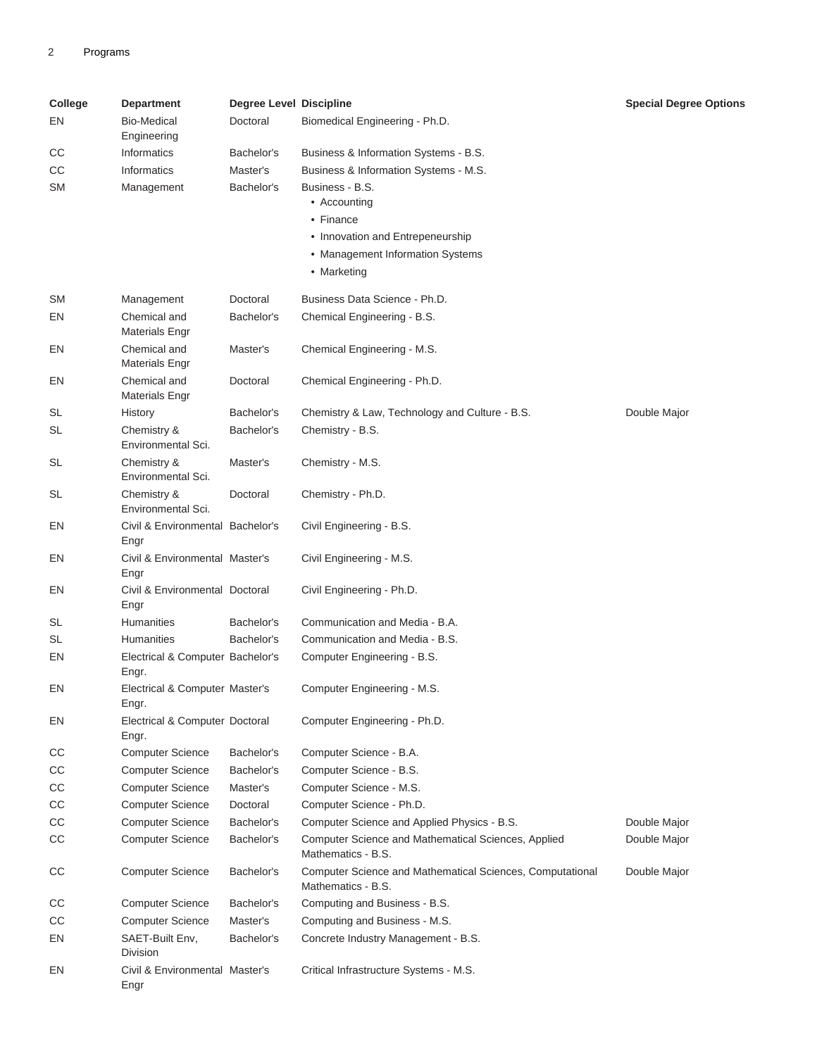| College   | <b>Department</b>                         | <b>Degree Level Discipline</b> |                                                                                     | <b>Special Degree Options</b> |
|-----------|-------------------------------------------|--------------------------------|-------------------------------------------------------------------------------------|-------------------------------|
| EN        | <b>Bio-Medical</b><br>Engineering         | Doctoral                       | Biomedical Engineering - Ph.D.                                                      |                               |
| CС        | Informatics                               | Bachelor's                     | Business & Information Systems - B.S.                                               |                               |
| CС        | Informatics                               | Master's                       | Business & Information Systems - M.S.                                               |                               |
| SΜ        | Management                                | Bachelor's                     | Business - B.S.<br>• Accounting<br>• Finance                                        |                               |
|           |                                           |                                | • Innovation and Entrepeneurship<br>• Management Information Systems<br>• Marketing |                               |
| <b>SM</b> | Management                                | Doctoral                       | Business Data Science - Ph.D.                                                       |                               |
| EN        | Chemical and<br><b>Materials Engr</b>     | Bachelor's                     | Chemical Engineering - B.S.                                                         |                               |
| EN        | Chemical and<br><b>Materials Engr</b>     | Master's                       | Chemical Engineering - M.S.                                                         |                               |
| EN        | Chemical and<br><b>Materials Engr</b>     | Doctoral                       | Chemical Engineering - Ph.D.                                                        |                               |
| SL        | History                                   | Bachelor's                     | Chemistry & Law, Technology and Culture - B.S.                                      | Double Major                  |
| SL        | Chemistry &<br>Environmental Sci.         | Bachelor's                     | Chemistry - B.S.                                                                    |                               |
| <b>SL</b> | Chemistry &<br>Environmental Sci.         | Master's                       | Chemistry - M.S.                                                                    |                               |
| SL        | Chemistry &<br>Environmental Sci.         | Doctoral                       | Chemistry - Ph.D.                                                                   |                               |
| EN        | Civil & Environmental Bachelor's<br>Engr  |                                | Civil Engineering - B.S.                                                            |                               |
| EN        | Civil & Environmental Master's<br>Engr    |                                | Civil Engineering - M.S.                                                            |                               |
| EN        | Civil & Environmental Doctoral<br>Engr    |                                | Civil Engineering - Ph.D.                                                           |                               |
| SL        | Humanities                                | Bachelor's                     | Communication and Media - B.A.                                                      |                               |
| SL        | <b>Humanities</b>                         | Bachelor's                     | Communication and Media - B.S.                                                      |                               |
| EN        | Electrical & Computer Bachelor's<br>Engr. |                                | Computer Engineering - B.S.                                                         |                               |
| EN        | Electrical & Computer Master's<br>Engr.   |                                | Computer Engineering - M.S.                                                         |                               |
| EN        | Electrical & Computer Doctoral<br>Engr.   |                                | Computer Engineering - Ph.D.                                                        |                               |
| CC        | <b>Computer Science</b>                   | Bachelor's                     | Computer Science - B.A.                                                             |                               |
| CC        | <b>Computer Science</b>                   | Bachelor's                     | Computer Science - B.S.                                                             |                               |
| CС        | <b>Computer Science</b>                   | Master's                       | Computer Science - M.S.                                                             |                               |
| CC        | <b>Computer Science</b>                   | Doctoral                       | Computer Science - Ph.D.                                                            |                               |
| CC        | <b>Computer Science</b>                   | Bachelor's                     | Computer Science and Applied Physics - B.S.                                         | Double Major                  |
| CС        | <b>Computer Science</b>                   | Bachelor's                     | Computer Science and Mathematical Sciences, Applied<br>Mathematics - B.S.           | Double Major                  |
| CС        | <b>Computer Science</b>                   | Bachelor's                     | Computer Science and Mathematical Sciences, Computational<br>Mathematics - B.S.     | Double Major                  |
| CС        | <b>Computer Science</b>                   | Bachelor's                     | Computing and Business - B.S.                                                       |                               |
| CС        | <b>Computer Science</b>                   | Master's                       | Computing and Business - M.S.                                                       |                               |
| EN        | SAET-Built Env,<br>Division               | Bachelor's                     | Concrete Industry Management - B.S.                                                 |                               |
| EN        | Civil & Environmental Master's<br>Engr    |                                | Critical Infrastructure Systems - M.S.                                              |                               |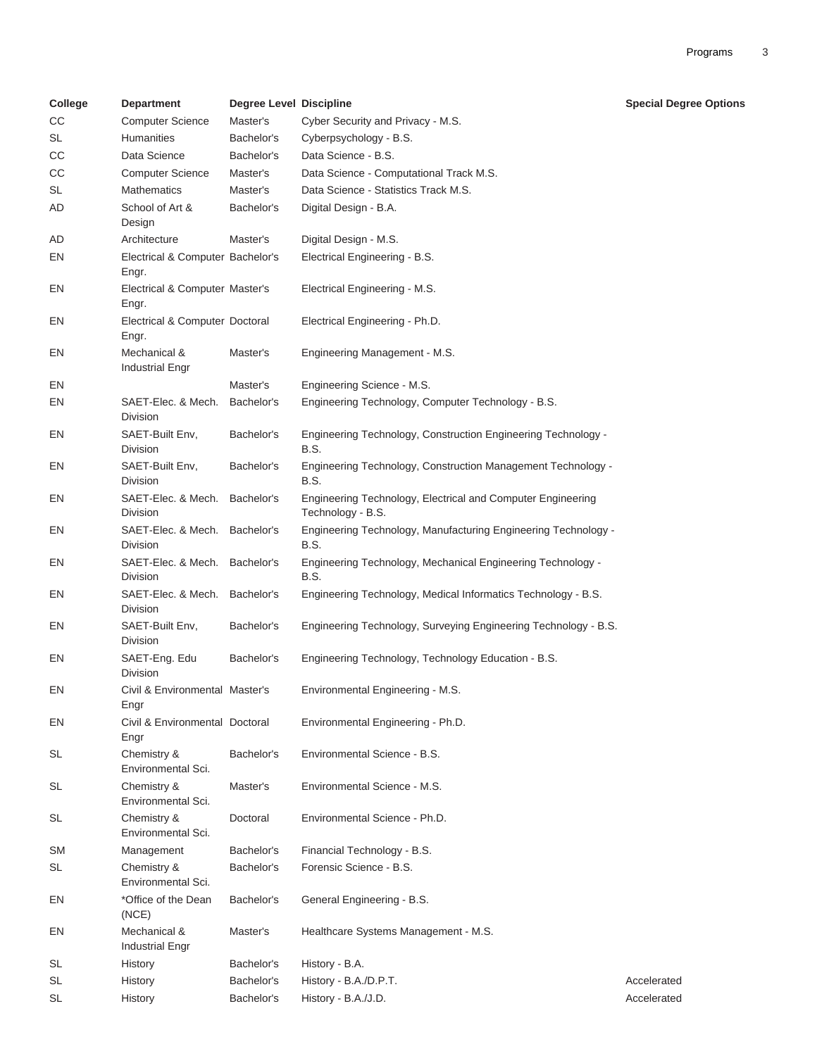| College   | <b>Department</b>                         | <b>Degree Level Discipline</b> |                                                                                  | <b>Special Degree Options</b> |
|-----------|-------------------------------------------|--------------------------------|----------------------------------------------------------------------------------|-------------------------------|
| CC        | <b>Computer Science</b>                   | Master's                       | Cyber Security and Privacy - M.S.                                                |                               |
| <b>SL</b> | <b>Humanities</b>                         | Bachelor's                     | Cyberpsychology - B.S.                                                           |                               |
| CС        | Data Science                              | Bachelor's                     | Data Science - B.S.                                                              |                               |
| СC        | <b>Computer Science</b>                   | Master's                       | Data Science - Computational Track M.S.                                          |                               |
| <b>SL</b> | <b>Mathematics</b>                        | Master's                       | Data Science - Statistics Track M.S.                                             |                               |
| AD        | School of Art &<br>Design                 | Bachelor's                     | Digital Design - B.A.                                                            |                               |
| AD        | Architecture                              | Master's                       | Digital Design - M.S.                                                            |                               |
| EN        | Electrical & Computer Bachelor's<br>Engr. |                                | Electrical Engineering - B.S.                                                    |                               |
| EN        | Electrical & Computer Master's<br>Engr.   |                                | Electrical Engineering - M.S.                                                    |                               |
| EN        | Electrical & Computer Doctoral<br>Engr.   |                                | Electrical Engineering - Ph.D.                                                   |                               |
| EN        | Mechanical &<br><b>Industrial Engr</b>    | Master's                       | Engineering Management - M.S.                                                    |                               |
| EN        |                                           | Master's                       | Engineering Science - M.S.                                                       |                               |
| EN        | SAET-Elec. & Mech.<br>Division            | Bachelor's                     | Engineering Technology, Computer Technology - B.S.                               |                               |
| EN        | SAET-Built Env.<br>Division               | Bachelor's                     | Engineering Technology, Construction Engineering Technology -<br>B.S.            |                               |
| EN        | SAET-Built Env,<br>Division               | Bachelor's                     | Engineering Technology, Construction Management Technology -<br>B.S.             |                               |
| EN        | SAET-Elec. & Mech.<br>Division            | Bachelor's                     | Engineering Technology, Electrical and Computer Engineering<br>Technology - B.S. |                               |
| EN        | SAET-Elec. & Mech.<br>Division            | Bachelor's                     | Engineering Technology, Manufacturing Engineering Technology -<br>B.S.           |                               |
| EN        | SAET-Elec. & Mech.<br>Division            | Bachelor's                     | Engineering Technology, Mechanical Engineering Technology -<br>B.S.              |                               |
| EN        | SAET-Elec. & Mech. Bachelor's<br>Division |                                | Engineering Technology, Medical Informatics Technology - B.S.                    |                               |
| EN        | SAET-Built Env,<br>Division               | Bachelor's                     | Engineering Technology, Surveying Engineering Technology - B.S.                  |                               |
| EN        | SAET-Eng. Edu<br>Division                 | Bachelor's                     | Engineering Technology, Technology Education - B.S.                              |                               |
| EN        | Civil & Environmental Master's<br>Engr    |                                | Environmental Engineering - M.S.                                                 |                               |
| EN        | Civil & Environmental Doctoral<br>Engr    |                                | Environmental Engineering - Ph.D.                                                |                               |
| <b>SL</b> | Chemistry &<br>Environmental Sci.         | Bachelor's                     | Environmental Science - B.S.                                                     |                               |
| <b>SL</b> | Chemistry &<br>Environmental Sci.         | Master's                       | Environmental Science - M.S.                                                     |                               |
| <b>SL</b> | Chemistry &<br>Environmental Sci.         | Doctoral                       | Environmental Science - Ph.D.                                                    |                               |
| <b>SM</b> | Management                                | Bachelor's                     | Financial Technology - B.S.                                                      |                               |
| <b>SL</b> | Chemistry &<br>Environmental Sci.         | Bachelor's                     | Forensic Science - B.S.                                                          |                               |
| EN        | *Office of the Dean<br>(NCE)              | Bachelor's                     | General Engineering - B.S.                                                       |                               |
| EN        | Mechanical &<br><b>Industrial Engr</b>    | Master's                       | Healthcare Systems Management - M.S.                                             |                               |
| SL        | History                                   | Bachelor's                     | History - B.A.                                                                   |                               |
| SL        | History                                   | Bachelor's                     | History - B.A./D.P.T.                                                            | Accelerated                   |
| <b>SL</b> | History                                   | Bachelor's                     | History - B.A./J.D.                                                              | Accelerated                   |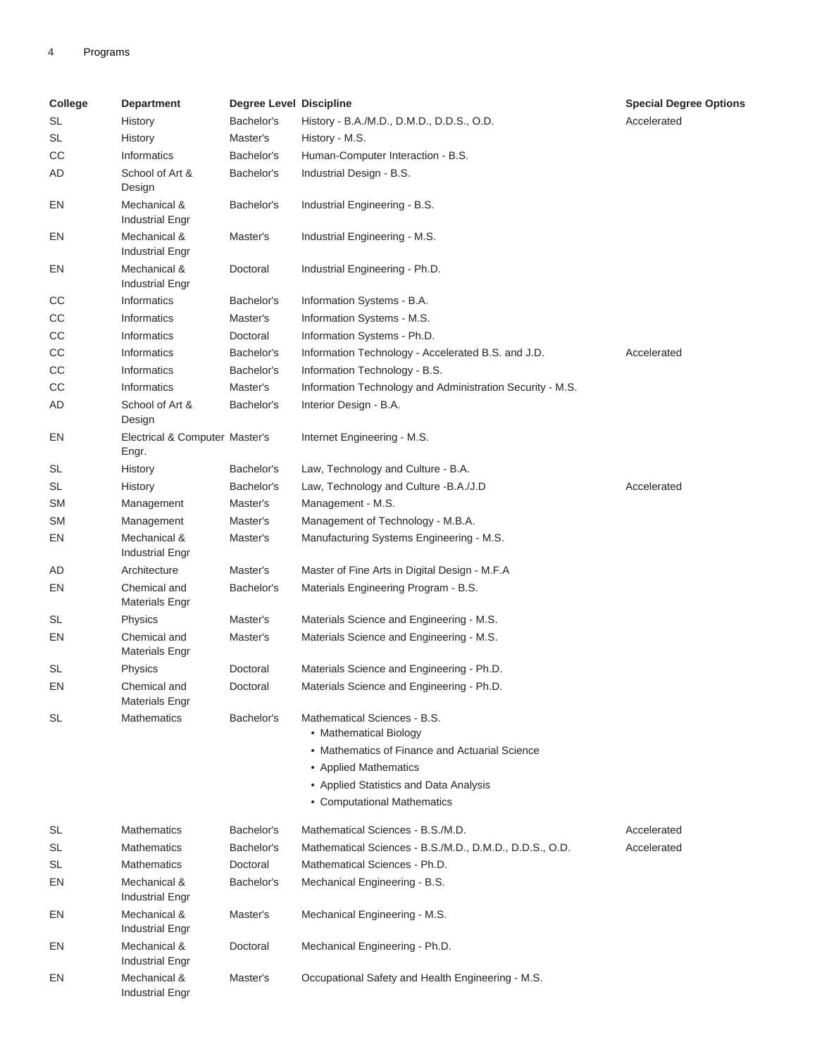## 4 Programs

| College   | <b>Department</b>                       | <b>Degree Level Discipline</b> |                                                                       | <b>Special Degree Options</b> |
|-----------|-----------------------------------------|--------------------------------|-----------------------------------------------------------------------|-------------------------------|
| SL        | History                                 | Bachelor's                     | History - B.A./M.D., D.M.D., D.D.S., O.D.                             | Accelerated                   |
| SL        | History                                 | Master's                       | History - M.S.                                                        |                               |
| CC        | Informatics                             | Bachelor's                     | Human-Computer Interaction - B.S.                                     |                               |
| AD        | School of Art &<br>Design               | Bachelor's                     | Industrial Design - B.S.                                              |                               |
| EN        | Mechanical &<br><b>Industrial Engr</b>  | Bachelor's                     | Industrial Engineering - B.S.                                         |                               |
| EN        | Mechanical &<br><b>Industrial Engr</b>  | Master's                       | Industrial Engineering - M.S.                                         |                               |
| EN        | Mechanical &<br><b>Industrial Engr</b>  | Doctoral                       | Industrial Engineering - Ph.D.                                        |                               |
| CС        | <b>Informatics</b>                      | Bachelor's                     | Information Systems - B.A.                                            |                               |
| CС        | <b>Informatics</b>                      | Master's                       | Information Systems - M.S.                                            |                               |
| CC        | <b>Informatics</b>                      | Doctoral                       | Information Systems - Ph.D.                                           |                               |
| CC        | Informatics                             | Bachelor's                     | Information Technology - Accelerated B.S. and J.D.                    | Accelerated                   |
| CC        | Informatics                             | Bachelor's                     | Information Technology - B.S.                                         |                               |
| CC        | <b>Informatics</b>                      | Master's                       | Information Technology and Administration Security - M.S.             |                               |
| AD        | School of Art &<br>Design               | Bachelor's                     | Interior Design - B.A.                                                |                               |
| EN        | Electrical & Computer Master's<br>Engr. |                                | Internet Engineering - M.S.                                           |                               |
| SL        | History                                 | Bachelor's                     | Law, Technology and Culture - B.A.                                    |                               |
| SL        | History                                 | Bachelor's                     | Law, Technology and Culture - B.A./J.D                                | Accelerated                   |
| <b>SM</b> | Management                              | Master's                       | Management - M.S.                                                     |                               |
| SM        | Management                              | Master's                       | Management of Technology - M.B.A.                                     |                               |
| EN        | Mechanical &<br><b>Industrial Engr</b>  | Master's                       | Manufacturing Systems Engineering - M.S.                              |                               |
| AD        | Architecture                            | Master's                       | Master of Fine Arts in Digital Design - M.F.A                         |                               |
| EN        | Chemical and<br><b>Materials Engr</b>   | Bachelor's                     | Materials Engineering Program - B.S.                                  |                               |
| <b>SL</b> | Physics                                 | Master's                       | Materials Science and Engineering - M.S.                              |                               |
| EN        | Chemical and<br><b>Materials Engr</b>   | Master's                       | Materials Science and Engineering - M.S.                              |                               |
| <b>SL</b> | Physics                                 | Doctoral                       | Materials Science and Engineering - Ph.D.                             |                               |
| EN        | Chemical and<br><b>Materials Engr</b>   | Doctoral                       | Materials Science and Engineering - Ph.D.                             |                               |
| SL        | <b>Mathematics</b>                      | Bachelor's                     | Mathematical Sciences - B.S.<br>• Mathematical Biology                |                               |
|           |                                         |                                | • Mathematics of Finance and Actuarial Science                        |                               |
|           |                                         |                                | • Applied Mathematics                                                 |                               |
|           |                                         |                                | • Applied Statistics and Data Analysis<br>• Computational Mathematics |                               |
| SL        | <b>Mathematics</b>                      | Bachelor's                     | Mathematical Sciences - B.S./M.D.                                     | Accelerated                   |
| SL        | <b>Mathematics</b>                      | Bachelor's                     | Mathematical Sciences - B.S./M.D., D.M.D., D.D.S., O.D.               | Accelerated                   |
| SL        | <b>Mathematics</b>                      | Doctoral                       | Mathematical Sciences - Ph.D.                                         |                               |
| EN        | Mechanical &<br><b>Industrial Engr</b>  | Bachelor's                     | Mechanical Engineering - B.S.                                         |                               |
| EN        | Mechanical &<br><b>Industrial Engr</b>  | Master's                       | Mechanical Engineering - M.S.                                         |                               |
| EN        | Mechanical &<br><b>Industrial Engr</b>  | Doctoral                       | Mechanical Engineering - Ph.D.                                        |                               |
| EN        | Mechanical &<br><b>Industrial Engr</b>  | Master's                       | Occupational Safety and Health Engineering - M.S.                     |                               |